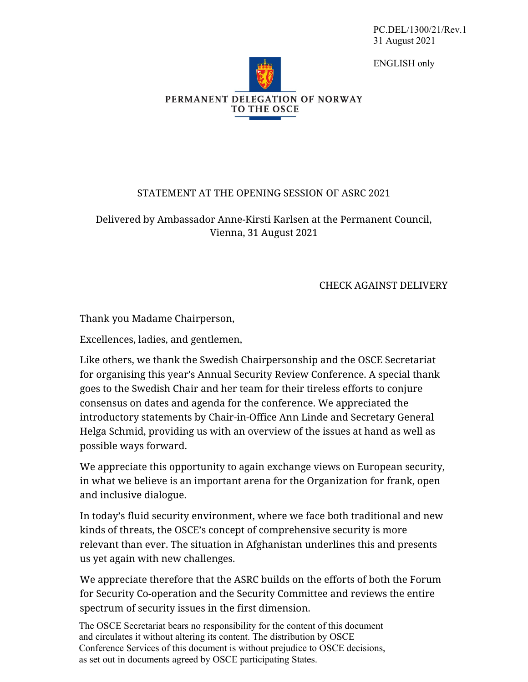PC.DEL/1300/21/Rev.1 31 August 2021

ENGLISH only



## STATEMENT AT THE OPENING SESSION OF ASRC 2021

Delivered by Ambassador Anne-Kirsti Karlsen at the Permanent Council, Vienna, 31 August 2021

## CHECK AGAINST DELIVERY

Thank you Madame Chairperson,

Excellences, ladies, and gentlemen,

Like others, we thank the Swedish Chairpersonship and the OSCE Secretariat for organising this year's Annual Security Review Conference. A special thank goes to the Swedish Chair and her team for their tireless efforts to conjure consensus on dates and agenda for the conference. We appreciated the introductory statements by Chair-in-Office Ann Linde and Secretary General Helga Schmid, providing us with an overview of the issues at hand as well as possible ways forward.

We appreciate this opportunity to again exchange views on European security, in what we believe is an important arena for the Organization for frank, open and inclusive dialogue.

In today's fluid security environment, where we face both traditional and new kinds of threats, the OSCE's concept of comprehensive security is more relevant than ever. The situation in Afghanistan underlines this and presents us yet again with new challenges.

We appreciate therefore that the ASRC builds on the efforts of both the Forum for Security Co-operation and the Security Committee and reviews the entire spectrum of security issues in the first dimension.

The OSCE Secretariat bears no responsibility for the content of this document and circulates it without altering its content. The distribution by OSCE Conference Services of this document is without prejudice to OSCE decisions, as set out in documents agreed by OSCE participating States.